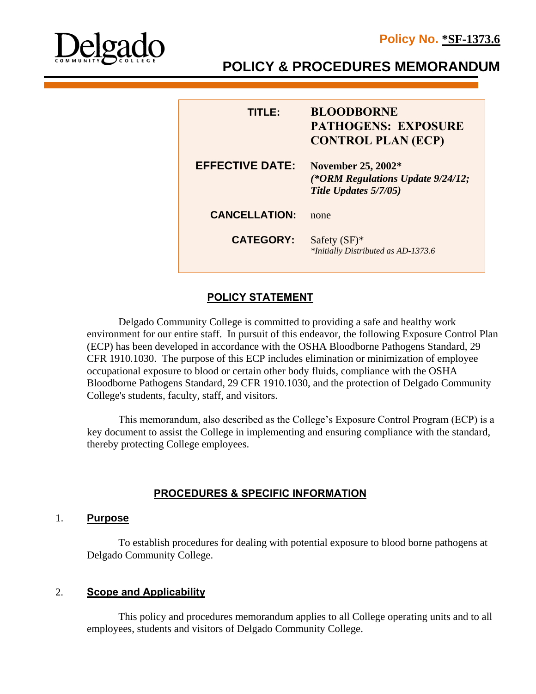

**POLICY & PROCEDURES MEMORANDUM**

| TITI E:                | <b>BLOODBORNE</b><br><b>PATHOGENS: EXPOSURE</b><br><b>CONTROL PLAN (ECP)</b>            |
|------------------------|-----------------------------------------------------------------------------------------|
| <b>EFFECTIVE DATE:</b> | <b>November 25, 2002*</b><br>(*ORM Regulations Update 9/24/12;<br>Title Updates 5/7/05) |
| <b>CANCELLATION:</b>   | none                                                                                    |
| <b>CATEGORY:</b>       | Safety $(SF)^*$<br>*Initially Distributed as AD-1373.6                                  |

# **POLICY STATEMENT**

Delgado Community College is committed to providing a safe and healthy work environment for our entire staff. In pursuit of this endeavor, the following Exposure Control Plan (ECP) has been developed in accordance with the OSHA Bloodborne Pathogens Standard, 29 CFR 1910.1030. The purpose of this ECP includes elimination or minimization of employee occupational exposure to blood or certain other body fluids, compliance with the OSHA Bloodborne Pathogens Standard, 29 CFR 1910.1030, and the protection of Delgado Community College's students, faculty, staff, and visitors.

This memorandum, also described as the College's Exposure Control Program (ECP) is a key document to assist the College in implementing and ensuring compliance with the standard, thereby protecting College employees.

# **PROCEDURES & SPECIFIC INFORMATION**

### 1. **Purpose**

To establish procedures for dealing with potential exposure to blood borne pathogens at Delgado Community College.

# 2. **Scope and Applicability**

This policy and procedures memorandum applies to all College operating units and to all employees, students and visitors of Delgado Community College.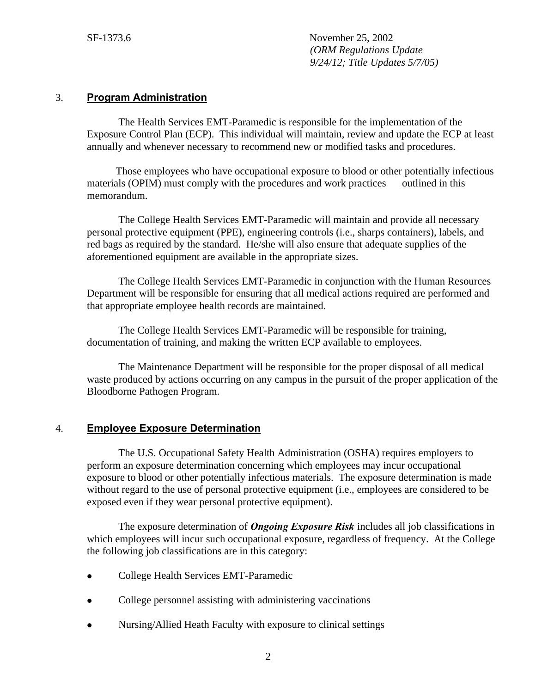#### 3. **Program Administration**

The Health Services EMT-Paramedic is responsible for the implementation of the Exposure Control Plan (ECP). This individual will maintain, review and update the ECP at least annually and whenever necessary to recommend new or modified tasks and procedures.

 Those employees who have occupational exposure to blood or other potentially infectious materials (OPIM) must comply with the procedures and work practices outlined in this memorandum.

 The College Health Services EMT-Paramedic will maintain and provide all necessary personal protective equipment (PPE), engineering controls (i.e., sharps containers), labels, and red bags as required by the standard. He/she will also ensure that adequate supplies of the aforementioned equipment are available in the appropriate sizes.

 The College Health Services EMT-Paramedic in conjunction with the Human Resources Department will be responsible for ensuring that all medical actions required are performed and that appropriate employee health records are maintained.

The College Health Services EMT-Paramedic will be responsible for training, documentation of training, and making the written ECP available to employees.

 The Maintenance Department will be responsible for the proper disposal of all medical waste produced by actions occurring on any campus in the pursuit of the proper application of the Bloodborne Pathogen Program.

#### 4. **Employee Exposure Determination**

The U.S. Occupational Safety Health Administration (OSHA) requires employers to perform an exposure determination concerning which employees may incur occupational exposure to blood or other potentially infectious materials. The exposure determination is made without regard to the use of personal protective equipment (i.e., employees are considered to be exposed even if they wear personal protective equipment).

The exposure determination of *Ongoing Exposure Risk* includes all job classifications in which employees will incur such occupational exposure, regardless of frequency. At the College the following job classifications are in this category:

- College Health Services EMT-Paramedic
- College personnel assisting with administering vaccinations
- Nursing/Allied Heath Faculty with exposure to clinical settings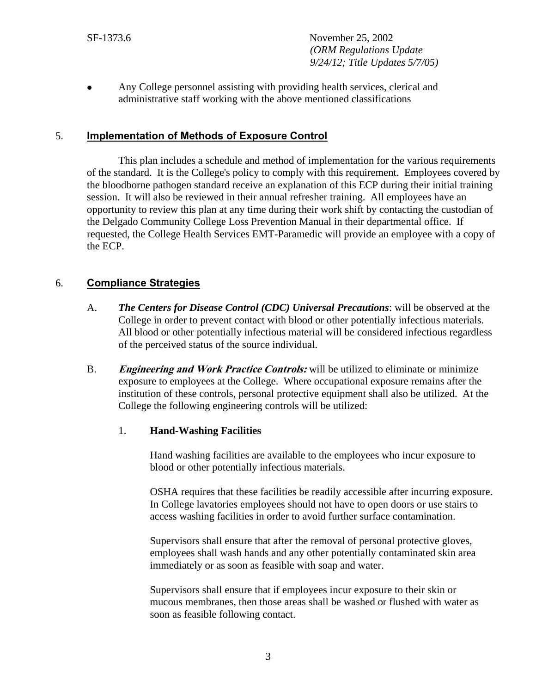Any College personnel assisting with providing health services, clerical and administrative staff working with the above mentioned classifications

## 5. **Implementation of Methods of Exposure Control**

This plan includes a schedule and method of implementation for the various requirements of the standard. It is the College's policy to comply with this requirement. Employees covered by the bloodborne pathogen standard receive an explanation of this ECP during their initial training session. It will also be reviewed in their annual refresher training. All employees have an opportunity to review this plan at any time during their work shift by contacting the custodian of the Delgado Community College Loss Prevention Manual in their departmental office. If requested, the College Health Services EMT-Paramedic will provide an employee with a copy of the ECP.

### 6. **Compliance Strategies**

- A. *The Centers for Disease Control (CDC) Universal Precautions*: will be observed at the College in order to prevent contact with blood or other potentially infectious materials. All blood or other potentially infectious material will be considered infectious regardless of the perceived status of the source individual.
- B. **Engineering and Work Practice Controls:** will be utilized to eliminate or minimize exposure to employees at the College. Where occupational exposure remains after the institution of these controls, personal protective equipment shall also be utilized. At the College the following engineering controls will be utilized:

### 1. **Hand-Washing Facilities**

Hand washing facilities are available to the employees who incur exposure to blood or other potentially infectious materials.

OSHA requires that these facilities be readily accessible after incurring exposure. In College lavatories employees should not have to open doors or use stairs to access washing facilities in order to avoid further surface contamination.

Supervisors shall ensure that after the removal of personal protective gloves, employees shall wash hands and any other potentially contaminated skin area immediately or as soon as feasible with soap and water.

Supervisors shall ensure that if employees incur exposure to their skin or mucous membranes, then those areas shall be washed or flushed with water as soon as feasible following contact.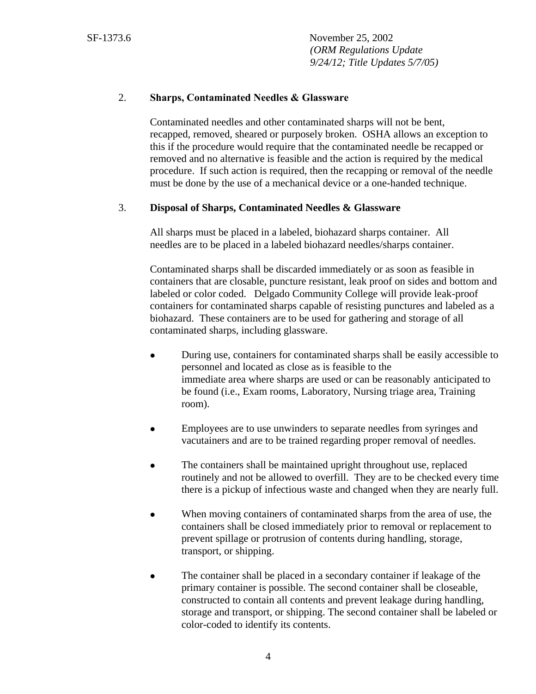#### 2. **Sharps, Contaminated Needles & Glassware**

Contaminated needles and other contaminated sharps will not be bent, recapped, removed, sheared or purposely broken. OSHA allows an exception to this if the procedure would require that the contaminated needle be recapped or removed and no alternative is feasible and the action is required by the medical procedure. If such action is required, then the recapping or removal of the needle must be done by the use of a mechanical device or a one-handed technique.

#### 3. **Disposal of Sharps, Contaminated Needles & Glassware**

All sharps must be placed in a labeled, biohazard sharps container. All needles are to be placed in a labeled biohazard needles/sharps container.

Contaminated sharps shall be discarded immediately or as soon as feasible in containers that are closable, puncture resistant, leak proof on sides and bottom and labeled or color coded. Delgado Community College will provide leak-proof containers for contaminated sharps capable of resisting punctures and labeled as a biohazard. These containers are to be used for gathering and storage of all contaminated sharps, including glassware.

- During use, containers for contaminated sharps shall be easily accessible to personnel and located as close as is feasible to the immediate area where sharps are used or can be reasonably anticipated to be found (i.e., Exam rooms, Laboratory, Nursing triage area, Training room).
- Employees are to use unwinders to separate needles from syringes and vacutainers and are to be trained regarding proper removal of needles.
- The containers shall be maintained upright throughout use, replaced routinely and not be allowed to overfill. They are to be checked every time there is a pickup of infectious waste and changed when they are nearly full.
- When moving containers of contaminated sharps from the area of use, the containers shall be closed immediately prior to removal or replacement to prevent spillage or protrusion of contents during handling, storage, transport, or shipping.
- The container shall be placed in a secondary container if leakage of the primary container is possible. The second container shall be closeable, constructed to contain all contents and prevent leakage during handling, storage and transport, or shipping. The second container shall be labeled or color-coded to identify its contents.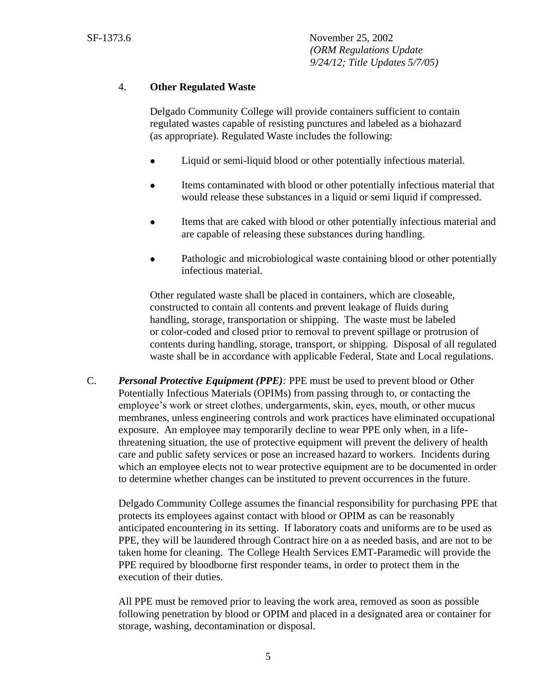#### 4. **Other Regulated Waste**

Delgado Community College will provide containers sufficient to contain regulated wastes capable of resisting punctures and labeled as a biohazard (as appropriate). Regulated Waste includes the following:

- Liquid or semi-liquid blood or other potentially infectious material.
- Items contaminated with blood or other potentially infectious material that would release these substances in a liquid or semi liquid if compressed.
- Items that are caked with blood or other potentially infectious material and are capable of releasing these substances during handling.
- Pathologic and microbiological waste containing blood or other potentially infectious material.

Other regulated waste shall be placed in containers, which are closeable, constructed to contain all contents and prevent leakage of fluids during handling, storage, transportation or shipping. The waste must be labeled or color-coded and closed prior to removal to prevent spillage or protrusion of contents during handling, storage, transport, or shipping. Disposal of all regulated waste shall be in accordance with applicable Federal, State and Local regulations.

C. *Personal Protective Equipment (PPE):* PPE must be used to prevent blood or Other Potentially Infectious Materials (OPIMs) from passing through to, or contacting the employee's work or street clothes, undergarments, skin, eyes, mouth, or other mucus membranes, unless engineering controls and work practices have eliminated occupational exposure. An employee may temporarily decline to wear PPE only when, in a lifethreatening situation, the use of protective equipment will prevent the delivery of health care and public safety services or pose an increased hazard to workers. Incidents during which an employee elects not to wear protective equipment are to be documented in order to determine whether changes can be instituted to prevent occurrences in the future.

Delgado Community College assumes the financial responsibility for purchasing PPE that protects its employees against contact with blood or OPIM as can be reasonably anticipated encountering in its setting. If laboratory coats and uniforms are to be used as PPE, they will be laundered through Contract hire on a as needed basis, and are not to be taken home for cleaning. The College Health Services EMT-Paramedic will provide the PPE required by bloodborne first responder teams, in order to protect them in the execution of their duties.

All PPE must be removed prior to leaving the work area, removed as soon as possible following penetration by blood or OPIM and placed in a designated area or container for storage, washing, decontamination or disposal.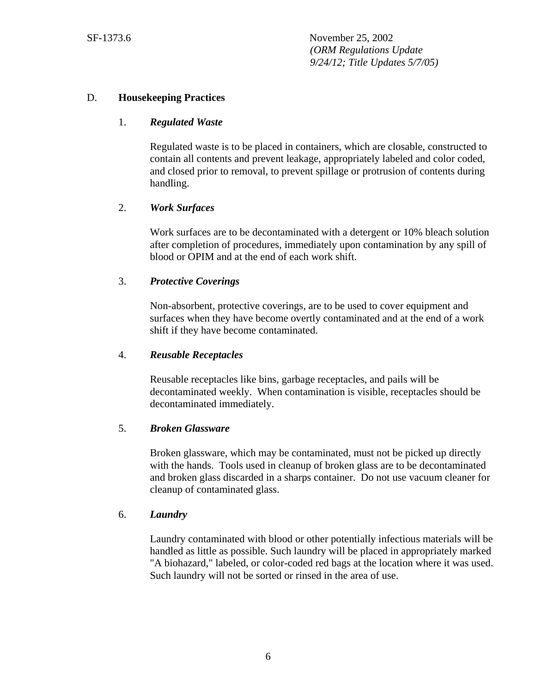### D. **Housekeeping Practices**

### 1. *Regulated Waste*

Regulated waste is to be placed in containers, which are closable, constructed to contain all contents and prevent leakage, appropriately labeled and color coded, and closed prior to removal, to prevent spillage or protrusion of contents during handling.

### 2. *Work Surfaces*

Work surfaces are to be decontaminated with a detergent or 10% bleach solution after completion of procedures, immediately upon contamination by any spill of blood or OPIM and at the end of each work shift.

### 3. *Protective Coverings*

Non-absorbent, protective coverings, are to be used to cover equipment and surfaces when they have become overtly contaminated and at the end of a work shift if they have become contaminated.

### 4. *Reusable Receptacles*

Reusable receptacles like bins, garbage receptacles, and pails will be decontaminated weekly. When contamination is visible, receptacles should be decontaminated immediately.

### 5. *Broken Glassware*

Broken glassware, which may be contaminated, must not be picked up directly with the hands. Tools used in cleanup of broken glass are to be decontaminated and broken glass discarded in a sharps container. Do not use vacuum cleaner for cleanup of contaminated glass.

### 6. *Laundry*

Laundry contaminated with blood or other potentially infectious materials will be handled as little as possible. Such laundry will be placed in appropriately marked "A biohazard," labeled, or color-coded red bags at the location where it was used. Such laundry will not be sorted or rinsed in the area of use.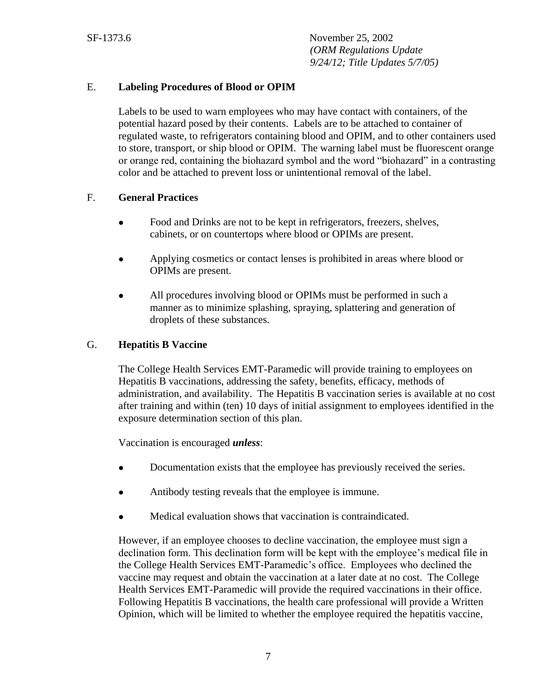## E. **Labeling Procedures of Blood or OPIM**

Labels to be used to warn employees who may have contact with containers, of the potential hazard posed by their contents. Labels are to be attached to container of regulated waste, to refrigerators containing blood and OPIM, and to other containers used to store, transport, or ship blood or OPIM. The warning label must be fluorescent orange or orange red, containing the biohazard symbol and the word "biohazard" in a contrasting color and be attached to prevent loss or unintentional removal of the label.

### F. **General Practices**

- Food and Drinks are not to be kept in refrigerators, freezers, shelves, cabinets, or on countertops where blood or OPIMs are present.
- Applying cosmetics or contact lenses is prohibited in areas where blood or OPIMs are present.
- All procedures involving blood or OPIMs must be performed in such a manner as to minimize splashing, spraying, splattering and generation of droplets of these substances.

### G. **Hepatitis B Vaccine**

The College Health Services EMT-Paramedic will provide training to employees on Hepatitis B vaccinations, addressing the safety, benefits, efficacy, methods of administration, and availability. The Hepatitis B vaccination series is available at no cost after training and within (ten) 10 days of initial assignment to employees identified in the exposure determination section of this plan.

Vaccination is encouraged *unless*:

- Documentation exists that the employee has previously received the series.
- Antibody testing reveals that the employee is immune.
- Medical evaluation shows that vaccination is contraindicated.

However, if an employee chooses to decline vaccination, the employee must sign a declination form. This declination form will be kept with the employee's medical file in the College Health Services EMT-Paramedic's office. Employees who declined the vaccine may request and obtain the vaccination at a later date at no cost. The College Health Services EMT-Paramedic will provide the required vaccinations in their office. Following Hepatitis B vaccinations, the health care professional will provide a Written Opinion, which will be limited to whether the employee required the hepatitis vaccine,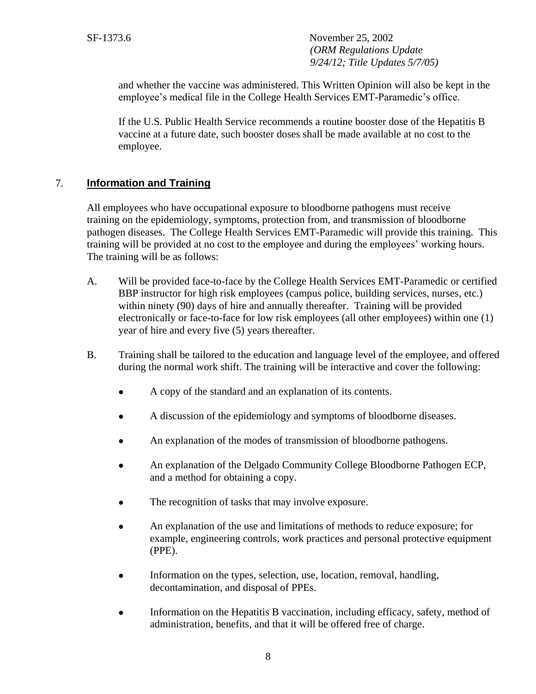and whether the vaccine was administered. This Written Opinion will also be kept in the employee's medical file in the College Health Services EMT-Paramedic's office.

If the U.S. Public Health Service recommends a routine booster dose of the Hepatitis B vaccine at a future date, such booster doses shall be made available at no cost to the employee.

# 7. **Information and Training**

All employees who have occupational exposure to bloodborne pathogens must receive training on the epidemiology, symptoms, protection from, and transmission of bloodborne pathogen diseases. The College Health Services EMT-Paramedic will provide this training. This training will be provided at no cost to the employee and during the employees' working hours. The training will be as follows:

- A. Will be provided face-to-face by the College Health Services EMT-Paramedic or certified BBP instructor for high risk employees (campus police, building services, nurses, etc.) within ninety (90) days of hire and annually thereafter. Training will be provided electronically or face-to-face for low risk employees (all other employees) within one (1) year of hire and every five (5) years thereafter.
- B. Training shall be tailored to the education and language level of the employee, and offered during the normal work shift. The training will be interactive and cover the following:
	- A copy of the standard and an explanation of its contents.
	- A discussion of the epidemiology and symptoms of bloodborne diseases.
	- An explanation of the modes of transmission of bloodborne pathogens.
	- An explanation of the Delgado Community College Bloodborne Pathogen ECP, and a method for obtaining a copy.
	- The recognition of tasks that may involve exposure.
	- An explanation of the use and limitations of methods to reduce exposure; for example, engineering controls, work practices and personal protective equipment (PPE).
	- Information on the types, selection, use, location, removal, handling, decontamination, and disposal of PPEs.
	- Information on the Hepatitis B vaccination, including efficacy, safety, method of administration, benefits, and that it will be offered free of charge.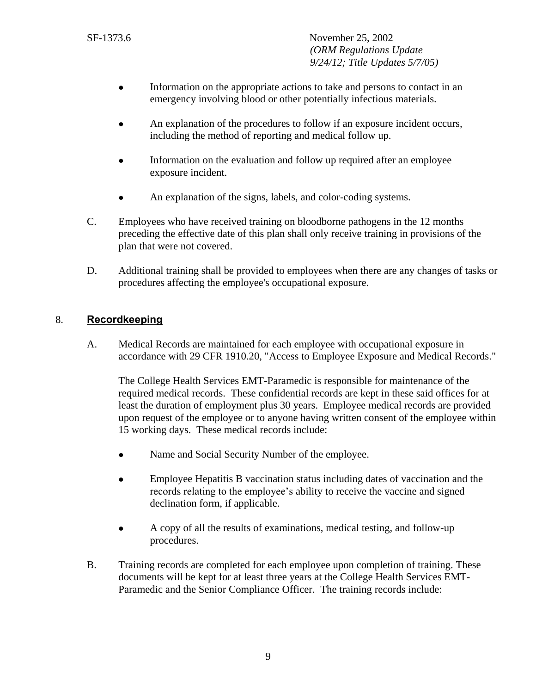- Information on the appropriate actions to take and persons to contact in an emergency involving blood or other potentially infectious materials.
- An explanation of the procedures to follow if an exposure incident occurs, including the method of reporting and medical follow up.
- Information on the evaluation and follow up required after an employee exposure incident.
- An explanation of the signs, labels, and color-coding systems.
- C. Employees who have received training on bloodborne pathogens in the 12 months preceding the effective date of this plan shall only receive training in provisions of the plan that were not covered.
- D. Additional training shall be provided to employees when there are any changes of tasks or procedures affecting the employee's occupational exposure.

# 8. **Recordkeeping**

A. Medical Records are maintained for each employee with occupational exposure in accordance with 29 CFR 1910.20, "Access to Employee Exposure and Medical Records."

The College Health Services EMT-Paramedic is responsible for maintenance of the required medical records. These confidential records are kept in these said offices for at least the duration of employment plus 30 years. Employee medical records are provided upon request of the employee or to anyone having written consent of the employee within 15 working days. These medical records include:

- Name and Social Security Number of the employee.
- Employee Hepatitis B vaccination status including dates of vaccination and the records relating to the employee's ability to receive the vaccine and signed declination form, if applicable.
- A copy of all the results of examinations, medical testing, and follow-up procedures.
- B. Training records are completed for each employee upon completion of training. These documents will be kept for at least three years at the College Health Services EMT-Paramedic and the Senior Compliance Officer. The training records include: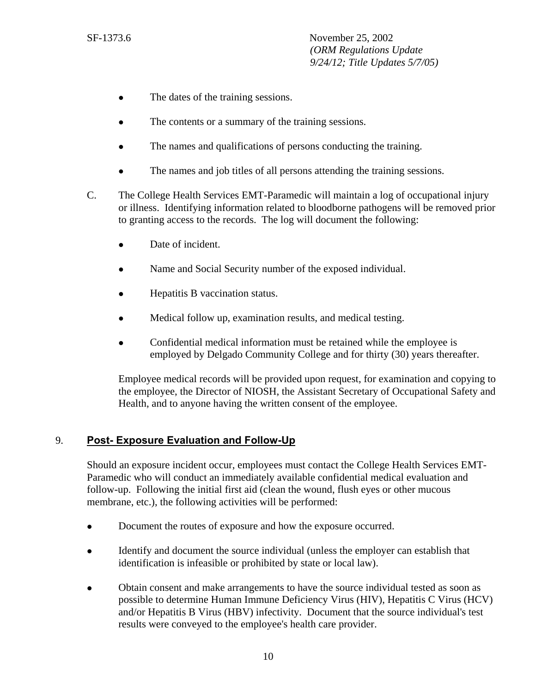- The dates of the training sessions.
- The contents or a summary of the training sessions.
- The names and qualifications of persons conducting the training.
- The names and job titles of all persons attending the training sessions.
- C. The College Health Services EMT-Paramedic will maintain a log of occupational injury or illness. Identifying information related to bloodborne pathogens will be removed prior to granting access to the records. The log will document the following:
	- Date of incident.
	- Name and Social Security number of the exposed individual.
	- Hepatitis B vaccination status.
	- Medical follow up, examination results, and medical testing.
	- Confidential medical information must be retained while the employee is employed by Delgado Community College and for thirty (30) years thereafter.

Employee medical records will be provided upon request, for examination and copying to the employee, the Director of NIOSH, the Assistant Secretary of Occupational Safety and Health, and to anyone having the written consent of the employee.

# 9. **Post- Exposure Evaluation and Follow-Up**

Should an exposure incident occur, employees must contact the College Health Services EMT-Paramedic who will conduct an immediately available confidential medical evaluation and follow-up. Following the initial first aid (clean the wound, flush eyes or other mucous membrane, etc.), the following activities will be performed:

- Document the routes of exposure and how the exposure occurred.
- Identify and document the source individual (unless the employer can establish that identification is infeasible or prohibited by state or local law).
- Obtain consent and make arrangements to have the source individual tested as soon as possible to determine Human Immune Deficiency Virus (HIV), Hepatitis C Virus (HCV) and/or Hepatitis B Virus (HBV) infectivity. Document that the source individual's test results were conveyed to the employee's health care provider.